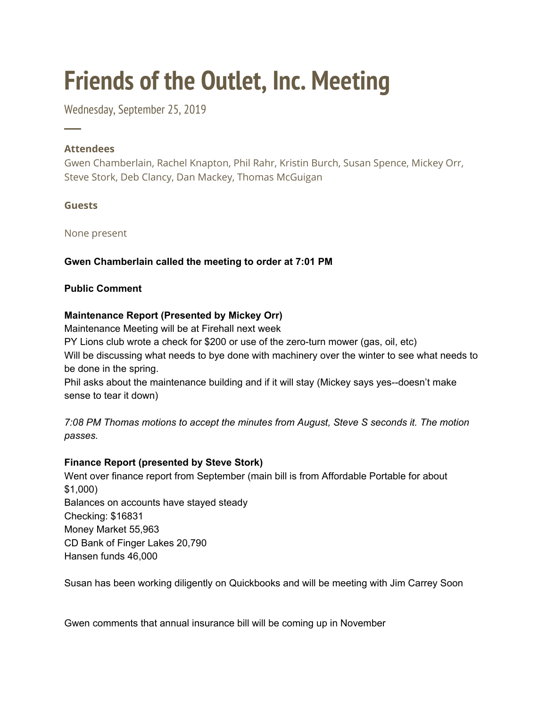# **Friends of the Outlet, Inc. Meeting**

Wednesday, September 25, 2019

# **Attendees**

─

Gwen Chamberlain, Rachel Knapton, Phil Rahr, Kristin Burch, Susan Spence, Mickey Orr, Steve Stork, Deb Clancy, Dan Mackey, Thomas McGuigan

# **Guests**

None present

# **Gwen Chamberlain called the meeting to order at 7:01 PM**

## **Public Comment**

# **Maintenance Report (Presented by Mickey Orr)**

Maintenance Meeting will be at Firehall next week

PY Lions club wrote a check for \$200 or use of the zero-turn mower (gas, oil, etc) Will be discussing what needs to bye done with machinery over the winter to see what needs to be done in the spring.

Phil asks about the maintenance building and if it will stay (Mickey says yes--doesn't make sense to tear it down)

*7:08 PM Thomas motions to accept the minutes from August, Steve S seconds it. The motion passes.*

# **Finance Report (presented by Steve Stork)**

Went over finance report from September (main bill is from Affordable Portable for about \$1,000) Balances on accounts have stayed steady Checking: \$16831 Money Market 55,963 CD Bank of Finger Lakes 20,790 Hansen funds 46,000

Susan has been working diligently on Quickbooks and will be meeting with Jim Carrey Soon

Gwen comments that annual insurance bill will be coming up in November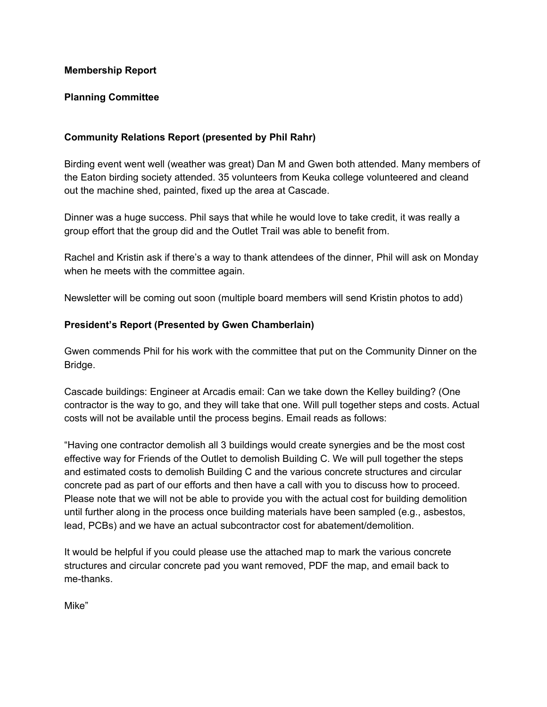#### **Membership Report**

## **Planning Committee**

## **Community Relations Report (presented by Phil Rahr)**

Birding event went well (weather was great) Dan M and Gwen both attended. Many members of the Eaton birding society attended. 35 volunteers from Keuka college volunteered and cleand out the machine shed, painted, fixed up the area at Cascade.

Dinner was a huge success. Phil says that while he would love to take credit, it was really a group effort that the group did and the Outlet Trail was able to benefit from.

Rachel and Kristin ask if there's a way to thank attendees of the dinner, Phil will ask on Monday when he meets with the committee again.

Newsletter will be coming out soon (multiple board members will send Kristin photos to add)

## **President's Report (Presented by Gwen Chamberlain)**

Gwen commends Phil for his work with the committee that put on the Community Dinner on the Bridge.

Cascade buildings: Engineer at Arcadis email: Can we take down the Kelley building? (One contractor is the way to go, and they will take that one. Will pull together steps and costs. Actual costs will not be available until the process begins. Email reads as follows:

"Having one contractor demolish all 3 buildings would create synergies and be the most cost effective way for Friends of the Outlet to demolish Building C. We will pull together the steps and estimated costs to demolish Building C and the various concrete structures and circular concrete pad as part of our efforts and then have a call with you to discuss how to proceed. Please note that we will not be able to provide you with the actual cost for building demolition until further along in the process once building materials have been sampled (e.g., asbestos, lead, PCBs) and we have an actual subcontractor cost for abatement/demolition.

It would be helpful if you could please use the attached map to mark the various concrete structures and circular concrete pad you want removed, PDF the map, and email back to me-thanks.

Mike"